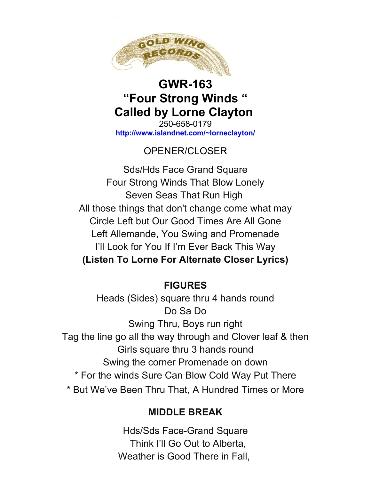

## **GWR-163 "Four Strong Winds " Called by Lorne Clayton**

250-658-0179 **<http://www.islandnet.com/~lorneclayton/>**

## OPENER/CLOSER

Sds/Hds Face Grand Square Four Strong Winds That Blow Lonely Seven Seas That Run High All those things that don't change come what may Circle Left but Our Good Times Are All Gone Left Allemande, You Swing and Promenade I'll Look for You If I'm Ever Back This Way **(Listen To Lorne For Alternate Closer Lyrics)**

## **FIGURES**

Heads (Sides) square thru 4 hands round Do Sa Do Swing Thru, Boys run right Tag the line go all the way through and Clover leaf & then Girls square thru 3 hands round Swing the corner Promenade on down \* For the winds Sure Can Blow Cold Way Put There \* But We've Been Thru That, A Hundred Times or More

## **MIDDLE BREAK**

Hds/Sds Face-Grand Square Think I'll Go Out to Alberta, Weather is Good There in Fall,